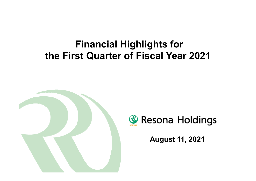# **Financial Highlights for the First Quarter of Fiscal Year 2021**





**August 11, 2021**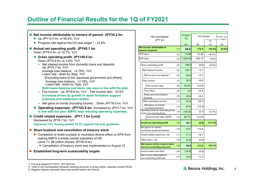## **Outline of Financial Results for the 1Q of FY2021**

| Net income attributable to owners of parent: JPY34.2 bn<br>• Up JPY12.4 bn, or 56.8%, YoY                                                                                                                                              |
|----------------------------------------------------------------------------------------------------------------------------------------------------------------------------------------------------------------------------------------|
| <b>• Progress rate against the full year target</b> <sup><math>*</math>1</sup> : 23.6%                                                                                                                                                 |
|                                                                                                                                                                                                                                        |
| Actual net operating profit: JPY45.1 bn<br>a se<br>Down JPY6.5 bn, or 12.7%, YoY                                                                                                                                                       |
| • Gross operating profit: JPY148.9 bn<br>Down JPY5.6 bn, or 3.6%, YoY                                                                                                                                                                  |
| $\triangleright$ Net interest income from domestic loans and deposits:<br>Up JPY0.7 bn, YoY                                                                                                                                            |
| Average loan balance: +4.79%, YoY<br>Loans rate: down by 3bps, YoY                                                                                                                                                                     |
| [Excluding loans to the Japanese government and others]<br>Average loan balance: +2.78%, YoY<br>Loans rate : down by 1bps, YoY                                                                                                         |
| Both loans balance and loans rate were in line with the plan.<br>$\triangleright$ Fee income : Up JPY6.6 bn, YoY Fee income ratio : 33.9%<br>Increased driven by growth in asset formation support<br>business and settlement-related. |
| $\triangleright$ Net gains on bonds (including futures) : Down JPY16.0 bn, YoY                                                                                                                                                         |
| • Operating expenses: JPY103.8 bn, Increased by JPY0.7 bn, YoY<br>In line with the plan, KMFG kept reducing operating expenses.                                                                                                        |
| Credit related expenses: JPY7.1 bn (cost)                                                                                                                                                                                              |
| Decreased by JPY8.7 bn, YoY                                                                                                                                                                                                            |
| Improved YoY, having posted 16.3% against full year guidance.                                                                                                                                                                          |
| Share buyback and cancellation of treasury stock                                                                                                                                                                                       |
| • Completion of share buyback to neutralize dilutive effect on EPS from<br>making KMFG a wholly-owned subsidiary of HD<br>(June 11: 88 million shares/ JPY40.9 bn)                                                                     |
| $\Rightarrow$ Cancellation of treasury stock was implemented on August 10.                                                                                                                                                             |
| <b>Established long-term sustainability targets</b>                                                                                                                                                                                    |

| HD consolidated |                                                                    |      | FY2021<br>1Q | YoY change |            | Progress rate<br>vs. Target*1 |
|-----------------|--------------------------------------------------------------------|------|--------------|------------|------------|-------------------------------|
|                 | (JPY bn)                                                           |      |              |            | $\%$       |                               |
|                 | Net income attributable to                                         |      | (a)          | (b)        | (c)        | (d)                           |
|                 | owners of parent                                                   | (1)  | 34.2         | $+12.4$    | +56.8%     | 23.6%                         |
|                 | EPS (yen)                                                          | (2)  | 13.88        | $+4.39$    | $+46.2%$   |                               |
|                 | BPS (yen)                                                          | (3)  | 1,034.69     | $+93.15$   | $+9.8%$    |                               |
|                 | Gross operating profit                                             | (4)  | 148.9        | (5.6)      | $(3.6)\%$  |                               |
|                 | Net interest income                                                | (5)  | 103.7        | $+3.7$     |            |                               |
|                 | NII from loans and deposits <sup>+2</sup>                          | (6)  | 84.8         | $+0.7$     |            |                               |
|                 | Fee income                                                         | (7)  | 50.6         | $+6.6$     |            |                               |
|                 | Fee income ratio                                                   | (8)  | 33.9%        | $+5.5%$    |            |                               |
|                 | Trust fees                                                         | (9)  | 4.9          | $+0.4$     |            |                               |
|                 | Fees and commission<br>income                                      | (10) | 45.6         | $+6.2$     |            |                               |
|                 | Other operating income                                             | (11) | (5.4)        | (16.1)     |            |                               |
|                 | Net gains on bonds<br>(including futures)                          | (12) | (8.2)        | (16.0)     |            |                               |
|                 | Operating expenses (excluding group<br>banks' non-recurring items) | (13) | (103.8)      | (0.7)      | (0.7)%     |                               |
|                 | Cost income ratio (OHR)                                            | (14) | 69.7%        | $+3.0%$    |            |                               |
|                 | <b>Actual net operating profit</b>                                 | (15) | 45.1         | (6.5)      | $(12.7)\%$ |                               |
|                 | Net gains on stocks<br>(including equity derivatives)              | (16) | 13.9         | $+14.8$    |            |                               |
|                 | Credit related expenses, net                                       | (17) | (7.1)        | $+8.7$     |            |                               |
|                 | Other gains, net                                                   | (18) | (2.8)        | (0.0)      |            |                               |
|                 | Net income before income taxes<br>and non-controlling interests    | (19) | 49.0         | $+17.0$    | $+53.1%$   |                               |
|                 | Income taxes and other                                             | (20) | (14.8)       | (5.9)      |            |                               |
|                 | Net income attributable to<br>non-controlling interests            | (21) | (0.0)        | $+1.2$     |            |                               |

\*2. Total of non-consolidated domestic banking accounts of group banks, deposits include NCDs

\*3. Negative figures represent items that would reduce net income

<sup>\*1.</sup> Full year target of FY2021: JPY145.0 bn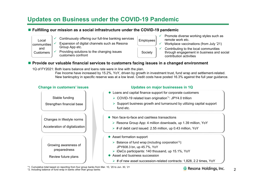## **Updates on Business under the COVID-19 Pandemic**

#### **Fulfilling our mission as a social infrastructure under the COVID-19 pandemic**

communities and**Customers** 

✓

- Local  $\begin{array}{c|c} \sim & \text{Continuously offering our full-line banking services} & \text{Employes} \end{array}$ 
	- ✓ Expansion of digital channels such as Resona Group App etc.
	- ✓ Providing solutions to the changing issues customers confront

Society

- Promote diverse working styles such as remote work etc.
- ✓ Workplace vaccinations (from July '21)
	- Contributing to the local communities through engagement in business and social contribution activities

#### **Provide our valuable financial services to customers facing issues in a changed environment**

1Q of FY2021: Both loans balance and loans rate were in line with the plan.

Fee Income have increased by 15.2%, YoY, driven by growth in investment trust, fund wrap and settlement-related. New bankruptcy in specific reserve was at a low level. Credit costs have posted 16.3% against the full year guidance.

# **Change in customers' issues Updates on major businesses in 1Q** Changes in lifestyle norms Acceleration of digitalization Growing awareness of preparedness Review future plans Stable funding Strengthen financial base

✓

✓

- Loans and capital finance support for corporate customers
	- COVID-19 related loan origination\*1: JPY4.0 trillion
	- $\triangleright$  Support business growth and turnaround by utilizing capital support fund etc.
- Non face-to-face and cashless transactions
	- $\triangleright$  Resona Group App: 4 million downloads, up 1.39 million, YoY
	- $\triangleright$  # of debit card issued: 2.55 million, up 0.43 million, YoY
- Asset formation support
	- $\triangleright$  Balance of fund wrap (including corporation<sup>\*2</sup>): JPY608.3 bn, up 45.7%, YoY
	- $\triangleright$  iDeCo participants: 140 thousand, up 15.1%, YoY
- Asset and business succession
	- $\triangleright$  # of new asset succession-related contracts: 1,828, 2.2 times, YoY

\*1. Cumulative total based on reporting from four group banks from Mar. 10, '20 to Jun. 30, '21 **\*2. Including than any in banks other than group banks**<br>\*2. Including balance of fund wrap in banks other than group banks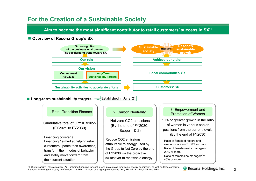## **For the Creation of a Sustainable Society**

**Aim to become the most significant contributor to retail customers' success in SX\*1**

#### ■ Overview of Resona Group's SX



\*1. Sustainability Transformation \*2. Including financing for such green projects as renewable energy generation, as well as large corporate **& Resona Holdings, Inc.**<br>financing involving third-party verification \*3. HD \*4.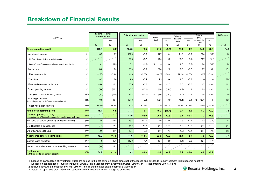## **Breakdown of Financial Results**

| (JPY bn)                                                                                        |      | <b>Resona Holdings</b><br>(Consolidated) |         |        | <b>Total of group banks</b> |               | Resona  |                | Total of |                                     |            | <b>Difference</b> |
|-------------------------------------------------------------------------------------------------|------|------------------------------------------|---------|--------|-----------------------------|---------------|---------|----------------|----------|-------------------------------------|------------|-------------------|
|                                                                                                 |      |                                          | YoY     |        | YoY                         | Bank          | YoY     | Resona<br>Bank | YoY      | group<br>banks under<br><b>KMFG</b> | YoY        |                   |
|                                                                                                 |      | (a)                                      | (b)     | (c)    | (d)                         | (e)           | (f)     | (g)            | (h)      | (i)                                 | (j)        | $(a)-(c)$         |
| <b>Gross operating profit</b>                                                                   | (1)  | 148.9                                    | (5.6)   | 134.6  | (6.3)                       | 71.7          | (9.5)   | 28.8           | $+0.2$   | 34.0                                | $+2.9$     | 14.3              |
| Net interest income                                                                             | (2)  | 103.7                                    | $+3.7$  | 101.9  | $+3.6$                      | 54.7          | $+3.4$  | 21.2           | $+0.6$   | 25.8                                | (0.5)      | 1.8               |
| NII from domestic loans and deposits                                                            | (3)  |                                          |         | 84.8   | $+0.7$                      | 43.6          | $+0.9$  | 17.3           | (0.1)    | 23.7                                | (0.1)      |                   |
| Gains/(losses) on cancellation of investment trusts                                             | (4)  | 0.1                                      | (1.5)   | 0.1    | (1.0)                       | $*1$          | $+0.4$  | 0.0            | (0.6)    | 0.0                                 | (0.8)      | 0.0               |
| <b>Fee income</b>                                                                               | (5)  | 50.6                                     | $+6.6$  | 38.4   | $+6.0$                      | 23.8          | $+2.2$  | 7.8            | $+0.7$   | 6.7                                 | $+3.0$     | 12.1              |
| Fee income ratio                                                                                | (6)  | 33.9%                                    | $+5.5%$ | 28.5%  | $+5.5%$                     | 33.1%         | $+6.6%$ | 27.2%          | $+2.3%$  | 19.9%                               | $+7.9%$    |                   |
| Trust fees                                                                                      | (7)  | 4.9                                      | $+0.4$  | 4.9    | $+0.4$                      | 4.9           | $+0.4$  | 0.0            | $+0.0$   |                                     |            | (0.0)             |
| Fees and commission income                                                                      | (8)  | 45.6                                     | $+6.2$  | 33.5   | $+5.5$                      | 18.8          | $+1.7$  | 7.8            | $+0.7$   | 6.7                                 | $+3.0$     | 12.1              |
| Other operating income                                                                          | (9)  | (5.4)                                    | (16.1)  | (5.7)  | (16.0)                      | (6.8)         | (15.2)  | (0.2)          | (1.1)    | 1.3                                 | $+0.3$     | 0.3               |
| Net gains on bonds (including futures)                                                          | (10) | (8.2)                                    | (16.0)  | (8.2)  | (16.0)                      | (8.6)<br>$*1$ | (15.2)  | (0.5)          | (1.1)    | 0.8                                 | $+0.4$     | 0.0               |
| Operating expenses<br>(excluding group banks' non-recurring items)                              | (11) | (103.8)                                  | (0.7)   | (97.3) | (0.4)                       | (52.5)        | (0.9)   | (19.1)         | (0.4)    | (25.6)<br>$*2$                      | $+1.0$     | (6.5)             |
| Cost income ratio (OHR)                                                                         | (12) | 69.7%                                    | $+3.0%$ | 72.2%  | $+3.5%$                     | 73.1%         | $+9.7%$ | 66.2%          | $+1.1%$  | 75.4%                               | $(10.4)\%$ |                   |
| <b>Actual net operating profit</b>                                                              | (13) | 45.1                                     | (6.5)   | 37.3   | (6.7)                       | 19.2          | (10.4)  | 9.7            | (0.2)    | 8.3                                 | $+3.9$     | 7.8               |
| Core net operating profit *3<br>(excluding gains/(losses) on cancellation of investment trusts) | (14) |                                          |         | 43.9   | $+8.0$                      | 26.6          | $+2.3$  | 9.9            | $+1.3$   | 7.3                                 | $+4.3$     |                   |
| Net gains on stocks (including equity derivatives)                                              | (15) | 13.9                                     | $+14.8$ | 13.6   | $+12.9$                     | 11.0          | $+12.8$ | 2.3            | $+1.1$   | 0.2                                 | (1.0)      | 0.2               |
| Credit related expenses, net                                                                    | (16) | (7.1)                                    | $+8.7$  | (6.8)  | $+7.5$                      | (6.2)         | $+5.1$  | 0.2            | $+1.0$   | (0.8)                               | $+1.3$     | (0.3)             |
| Other gains/(losses), net                                                                       | (17) | (2.8)                                    | (0.0)   | (2.5)  | (0.0)                       | (1.3)         | $+0.3$  | (0.3)          | $+0.4$   | (0.7)                               | (0.9)      | (0.2)             |
| Net income before income taxes                                                                  | (18) | 49.0                                     | $+17.0$ | 41.6   | $+13.6$                     | 22.6          | $+7.8$  | 11.9           | $+2.3$   | 7.0                                 | $+3.3$     | $7.4$             |
| Income taxes and other                                                                          | (19) | (14.8)                                   | (5.9)   | (12.3) | (4.7)                       | (6.7)         | (2.8)   | (3.4)          | (0.6)    | (2.1)                               | (1.1)      |                   |
| Net income attributable to non-controlling interests                                            | (20) | (0.0)                                    | $+1.2$  |        |                             |               |         |                |          |                                     |            |                   |
| Net income<br>(attributable to owners of parent)                                                | (21) | 34.2                                     | $+12.4$ | 29.3   | $+8.8$                      | 15.9          | $+4.9$  | 8.4            | $+1.6$   | 4.8                                 | $+2.2$     |                   |

\*1. Losses on cancellation of investment trusts are posted in the net gains on bonds since net of the losses and dividends from investment trusts become negative (Losses on cancellation of investment trusts: JPY(5.9) bn, dividends from investment trusts: +JPY0.6 bn → net amount: JPY(5.3) bn)

\*2. Exclude goodwill amortization by KMB, JPY(0.1) bn, related to acquisition of former Biwako Bank

\*3. Actual net operating profit - Gains on cancellation of investment trusts - Net gains on bonds

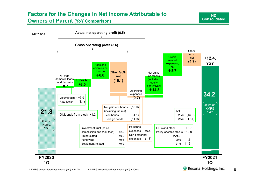## **Factors for the Changes in Net Income Attributable to Owners of Parent (YoY Comparison)**

**HDConsolidated**

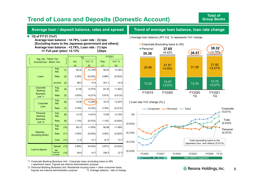## **Trend of Loans and Deposits (Domestic Account)**

#### **Average loan / deposit balance, rates and spread**

#### **Trend of average loan balance, loan rate change**

#### **1Q of FY'21 (YoY)**

**Average loan balance : +4.79%, Loan rate : (3) bps [Excluding loans to the Japanese government and others] Average loan balance : +2.78%, Loan rate : (1) bps => Full year (plan) +2.13% (3)bps**

|                                     |                                                    |      | 1 <sub>Q</sub> |           | FY2021 |            |  |  |  |
|-------------------------------------|----------------------------------------------------|------|----------------|-----------|--------|------------|--|--|--|
|                                     | Avg. bal: Trillion Yen<br>Income/Cost: Billion Yen |      | Act.           | YoY *3    | Plan   | YoY *3     |  |  |  |
|                                     |                                                    |      | (a)            | (b)       | (c)    | (d)        |  |  |  |
|                                     | Avg.<br>Bal.                                       | (1)  | 38.32          | +4.79%    | 38.55  | $+2.39%$   |  |  |  |
| Loans                               | Rate                                               | (2)  | 0.90%          | (0.03)%   | 0.88%  | (0.03)%    |  |  |  |
|                                     | Income                                             | (3)  | 86.0           | $+0.5$    | 341.3  | (4.4)      |  |  |  |
| Corporate<br><b>Banking</b>         | Avg.<br>Bal.                                       | (4)  | 21.92          | $+2.57%$  | 22.16  | $+1.60%$   |  |  |  |
| <b>Business</b><br>Unit *1          | Rate                                               | (5)  | 0.83%          | $+0.01%$  | 0.81%  | $(0.01)$ % |  |  |  |
| Corporate                           | Avg.<br>Bal.                                       | (6)  | 18.48          | $+3.99\%$ | 18.75  | $+2.67%$   |  |  |  |
| Loan                                | Rate                                               | (7)  | 0.78%          | $+0.02%$  | 0.76%  | (0.01)%    |  |  |  |
| Personal<br><b>Banking</b>          | Avg.<br>Bal.                                       | (8)  | 13.75          | $+3.07%$  | 13.84  | $+2.74%$   |  |  |  |
| <b>Business</b><br>Unit *2          | Rate                                               | (9)  | 1.13%          | (0.07)%   | 1.12%  | (0.05)%    |  |  |  |
|                                     | Avg.<br>Bal.                                       | (10) | 58.73          | $+7.65%$  | 56.99  | $+1.69%$   |  |  |  |
| <b>Deposits</b><br>(Including NCDs) | Rate                                               | (11) | 0.00%          | (0.00)%   | 0.00%  | (0.00)%    |  |  |  |
|                                     | Cost                                               | (12) | (1.2)          | $+0.1$    | (4.7)  | $+0.7$     |  |  |  |
| Loan-to-deposit                     | Spread                                             | (13) | 0.89%          | (0.03)%   | 0.87%  | (0.03)%    |  |  |  |
|                                     | <b>Net</b><br>interest<br>income                   | (14) | 84.8           | $+0.7$    | 336.5  | (3.7)      |  |  |  |

[ Average loan balance (JPY tn)] % represents YoY change





\*1. Corporate Banking Business Unit : Corporate loans (excluding loans to HD) + apartment loans, Figures are internal administration purpose

\*2. Personal Banking Business Unit: Residential housing loans + other consumer loans, Figures are internal administration purpose  $*3$ . Average balance : rate of change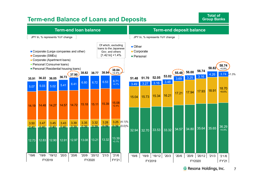## **Term-end Balance of Loans and Deposits**

**Total ofGroup Banks**



<sup>®</sup> Resona Holdings, Inc. 7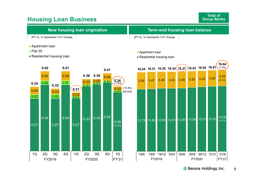## **Housing Loan Business**

**Total of Group Banks**

| New housing loan origination    | <b>Term-end housing loan balance</b> |
|---------------------------------|--------------------------------------|
| JPY tn, % represents YoY change | JPY tn, % represents YoY change      |

- **Apartment loan**
- $\blacksquare$  Flat 35
- Residential housing loan

#### Apartment loan

■ Residential housing loan





**& Resona Holdings, Inc.** 8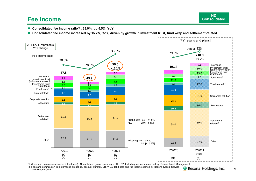## **Fee Income**

- **Consolidated fee income ratio\*1 : 33.9%, up 5.5%, YoY**
- **Consolidated fee income increased by 15.2%, YoY, driven by growth in investment trust, fund wrap and settlement-related**



\*1. (Fees and commission income + trust fees) / Consolidated gross operating profit \*2. Including fee income earned by Resona Asset Management

\*3. Fees and commission from domestic exchange, account transfer, EB, VISA debit card and fee income earned by Resona Kessai Service and Resona Card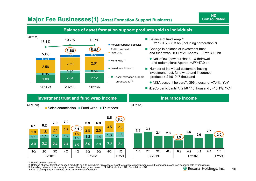

## **Major Fee Businesses(1) (Asset Formation Support Business)**

\*1. Based on market value

\*2. Balance of asset formation support products sold to individuals / (balance of asset formation support products sold to individuals and yen deposits held by individuals)

\*3. Including balance of fund wrap in banks other than group banks \*4. NISA, Junior NISA, Cumulative NISA

FY2019 FY2020 FY'21

1Q 2Q 3Q 4Q 1Q 2Q 3Q 4Q 1Q

\*5. iDeCo participants + members giving investment instructions

**HDConsolidated**

1Q 2Q 3Q 4Q 1Q 2Q 3Q 4Q 1Q

FY2019 FY2020 FY'21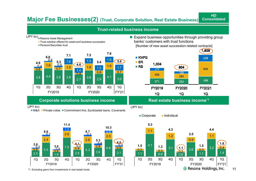## **Major Fee Businesses(2) (Trust, Corporate Solution, Real Estate Business)**

#### **Trust-related business income**(JPY bn)<br>■ Resona Asset Management  $\blacksquare$  Expand business opportunities through providing group banks' customers with trust functions**Trust solution offered for asset and business succession Pension/Securities trust** [Number of new asset succession-related contracts] 1,828 **7.67.17.2**  $\blacksquare$  KMFG **6.6** 439 0.4 1.6 **5.6**1.5 1.6 $\blacksquare$  SR **5.3 5.4 4.9**1.004 0.5 **4.6** 1.6  $0.4$ 1.8  $R$ B 1.5 1.8 804 1.7  $\overline{0.7}$ 1.5 900 0.6 177 1.40.8 $\overline{0.7}$ 158 0.4 456 293 3.8 4.4 3.9 3.9 2.7 $\begin{array}{|c|c|c|c|c|}\n\hline\n7 & 3.8 & 2.9 & 4.1 & 3.0\n\end{array}$ 489 371 353 1Q 2Q 3Q 4Q 1Q 2Q 3Q 4Q 1Q FY2019 FY2020 FY2021 FY2019 FY2020 FY'21  $1Q$  $1Q$  $1Q$ **Corporate solutions business income The Real estate business income\*1** (JPY bn) (JPY bn) M&A ■ Private notes ■ Commitment line, Syndicated Ioans, Covenants



\*1. Excluding gains from investments in real estate funds

 $\blacksquare$  Corporate  $\blacksquare$  Individual

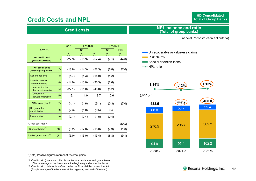## **Credit Costs and NPL**

**HD ConsolidatedTotal of Group Banks**

### **Credit costs**

#### **NPL balance and ratio (Total of group banks)**

(Financial Reconstruction Act criteria))

|  |                                                  | FY2019 |        | FY2020 | FY2021 |       |        |
|--|--------------------------------------------------|--------|--------|--------|--------|-------|--------|
|  | (JPY bn)                                         |        |        | 1Q     |        | 1Q    | Plan   |
|  |                                                  |        | (a)    | (b)    | (c)    | (d)   | (e)    |
|  | <b>Net credit cost</b><br>(HD consolidated)      | (1)    | (22.9) | (15.9) | (57.4) | (7.1) | (44.0) |
|  |                                                  |        |        |        |        |       |        |
|  | <b>Net credit cost</b><br>(Total of group banks) | (2)    | (18.8) | (14.3) | (52.3) | (6.8) | (37.0) |
|  | General reserve                                  | (3)    | (4.7)  | (4.3)  | (15.9) | (4.2) |        |
|  | Specific reserve<br>and other items              | (4)    | (14.0) | (10.0) | (36.3) | (2.6) |        |
|  | New bankruptcy,<br>dow nw ard migration          | (5)    | (27.1) | (11.0) | (45.0) | (5.2) |        |
|  | Collection/<br>upward migration                  | (6)    | 13.1   | 1.0    | 8.7    | 2.6   |        |
|  | Difference (1) - (2)                             | (7)    | (4.1)  | (1.6)  | (5.1)  | (0.3) | (7.0)  |
|  | <b>HL</b> guarantee<br>subsidiaries              | (8)    | (2.3)  | (1.0)  | (0.5)  | 0.4   |        |
|  | <b>Resona Card</b>                               | (9)    | (2.1)  | (0.4)  | (1.5)  | (0.4) |        |
|  | <credit cost="" ratio=""></credit>               |        |        |        |        |       | (bps)  |
|  | HD consolidated <sup>"1</sup>                    | (10)   | (6.2)  | (17.0) | (15.0) | (7.3) | (11.0) |
|  | Total of group banks <sup>*2</sup>               | (11)   | (5.0)  | (15.0) | (13.4) | (6.8) | (9.1)  |
|  |                                                  |        |        |        |        |       |        |

\*(Note) Positive figures represent reversal gains

- \*1. Credit cost / (Loans and bills discounted + acceptances and guarantees) (Simple average of the balances at the beginning and end of the term)
- \*2. Credit cost / total credits defined under the Financial Reconstruction Act (Simple average of the balances at the beginning and end of the term)
- **Unrecoverable or valueless claims**
- Risk claims
- Special attention loans
- NPL ratio

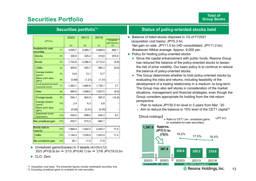## **Securities Portfolio**

|                                                | 2020/3  | 2021/3  | 2021/6  |                                     |
|------------------------------------------------|---------|---------|---------|-------------------------------------|
| (JPY bn)                                       |         |         |         | <b>Unrealized</b><br>gains/(losses) |
|                                                | (a)     | (b)     | (c)     | (d)                                 |
| Available-for-sale<br>(1)<br>securities        | 3,055.7 | 4,480.7 | 4,669.9 | 662.1                               |
| (2)<br><b>Stocks</b>                           | 336.9   | 325.2   | 319.8   | 674.6                               |
| (3)<br><b>Bonds</b>                            | 1,722.8 | 2,586.4 | 2,712.4 | (5.6)                               |
| <b>JGBs</b><br>(4)                             | 459.6   | 925.7   | 992.3   | (9.4)                               |
| Average duration<br>(5)<br>(years)             | 14.8    | 13.1    | 12.7    |                                     |
| Basis point value<br>(6)<br>(BPV)              | (0.68)  | (1.21)  | (1.31)  |                                     |
| Local government and<br>(7)<br>corporate bonds | 1,263.1 | 1,660.6 | 1,720.1 | 3.7                                 |
| (8)<br>Other                                   | 995.9   | 1,569.0 | 1,637.5 | (6.9)                               |
| Foreign bonds<br>(9)                           | 554.1   | 904.8   | 997.0   | (14.8)                              |
| Average duration<br>(10)<br>(years)            | 2.4     | 6.3     | 5.8     |                                     |
| Basis point value<br>(11)<br>(BPV)             | (0.00)  | (0.51)  | (0.45)  |                                     |
| <b>Investment trusts</b><br>(12)<br>(Domestic) | 435.0   | 658.4   | 634.3   | 5.2                                 |
| Net unrealized gain<br>(13)                    | 420.7   | 615.3   | 662.1   |                                     |
| Bonds held to<br>(14)<br>maturity              | 1,968.4 | 1,942.2 | 2,440.7 | 17.9                                |
| <b>JGBs</b><br>(15)                            | 1,144.2 | 1,035.6 | 1,423.4 | 11.4                                |
| Net unrealized gain<br>(16)                    | 28.1    | 11.5    | 17.9    |                                     |

#### **Securities portfolio\*1**

■ Unrealized gains/(losses) in 3 assets (4)+(9)+(12) '20/3 JPY(6.9) bn ⇒ '21/3 JPY(45.1) bn ⇒ '21/6 JPY(19.0) bn

#### CLO: Zero

\*2. Excluding unrealized gains on available for sale securities

#### **Status of policy-oriented stocks held**

- Balance of listed stocks disposed in 1Q of FY2021 (acquisition cost basis): JPY5.3 bn, Net gain on sale: JPY11.0 bn (HD consolidated: JPY11.2 bn) Breakeven Nikkei average: Approx. 9,000 yen
- **Policy for holding policy-oriented stocks** 
	- Since the capital enhancement with public funds, Resona Group has reduced the balance of the policy-oriented stocks to lessen the risk of price volatility. Our basic policy is to continue to reduce the balance of policy-oriented stocks.
	- The Group determines whether to hold policy-oriented stocks by evaluating the risks and returns, including feasibility of the development of a trading relationship in a medium- to long-term. The Group may also sell stocks in consideration of the market situations, management and financial strategies, even though the Group considers appropriate for holding from the risk-return perspective.
		- $\triangleright$  Plan to reduce JPY30.0 bn level in 3 years from Mar. '20
		- $\triangleright$  Aim to reduce the balance to 15% level of the CET1 capital<sup>\*2</sup>



13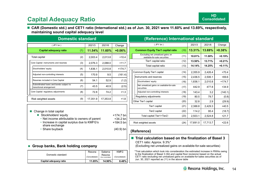## **Capital Adequacy Ratio**

■ CAR (Domestic std.) and CET1 ratio (International std.) as of Jun. 30, 2021 were 11.60% and 13.69%, respectively, **maintaining sound capital adequacy level** 

| <b>Domestic standard</b>                                                                                       |     |          |                         |             |                      | (Reference) International standard                                 |          |          |         |          |  |
|----------------------------------------------------------------------------------------------------------------|-----|----------|-------------------------|-------------|----------------------|--------------------------------------------------------------------|----------|----------|---------|----------|--|
| (JPY bn)                                                                                                       |     | 2021/3   | 2021/6                  | Change      |                      | (JPYbn)                                                            |          | 2021/3   | 2021/6  | Change   |  |
| Capital adequacy ratio                                                                                         | (1) | 11.54%   | 11.60%                  | $+0.06%$    |                      | <b>Common Equity Tier1 capital ratio</b>                           | (10)     | 13.31%   | 13.69%  | $+0.38%$ |  |
| <b>Total capital</b>                                                                                           | (2) | 2,003.4  | 2,013.8                 | $+10.4$     |                      | Excluding net unrealized gains on<br>available-for-sale securities | (11)     | 10.81%   | 11.00%  | $+0.19%$ |  |
| Core Capital: instruments and reserves                                                                         | (3) | 2,076.3  | 2.088.0                 | $+11.7$     |                      | Tier1 capital ratio                                                | (12)     | 13.50%   | 13.71%  | $+0.21%$ |  |
| Stockholders' equity                                                                                           |     |          |                         |             |                      | Total capital ratio                                                | (13)     | 14.14%   | 14.25%  | $+0.11%$ |  |
|                                                                                                                | (4) | 1,836.1  | 2,010.8                 | $+174.7$    |                      | Common Equity Tier1 capital                                        | (14)     | 2,355.9  | 2,426.4 | $+70.4$  |  |
| Adjusted non-controlling interests                                                                             | (5) | 170.9    | 9.5                     | (161.4)     |                      | Instruments and reserves                                           | (15)     | 2,436.5  | 2,506.1 | $+69.6$  |  |
| Reserves included in Core Capital                                                                              | (6) | 54.1     | 52.9                    | (1.2)       |                      | Stockholders' equity                                               | (16)     | 1,836.1  | 2,010.8 | $+174.7$ |  |
| Subordinated loans and bonds subject to<br>transitional arrangement                                            | (7) | 43.5     | 40.9                    | (2.5)       |                      | Net unrealized gains on available-for-sale<br>securities           | (17)     | 442.9    | 477.8   | $+34.9$  |  |
| Core Capital: regulatory adjustments                                                                           | (8) | 72.8     | 74.2                    | $+1.3$      |                      | Adjusted non-controlling interests                                 | (18)     | 143.4    | 3.2     | (140.1)  |  |
|                                                                                                                |     |          | 17,353.8                | $+1.8$      |                      | Regulatory adjustments                                             | (19)     | 80.5     | 79.7    | (0.8)    |  |
| Risk weighted assets                                                                                           | (9) | 17,351.9 |                         |             |                      | Other Tier1 capital                                                | (20)     | 32.8     | 2.9     | (29.9)   |  |
|                                                                                                                |     |          |                         |             |                      | Tier1 capital                                                      | (21)     | 2,388.8  | 2,429.3 | $+40.5$  |  |
| $\blacksquare$ Change in total capital                                                                         |     |          |                         |             |                      | Tier2 capital                                                      | (22)     | 114.2    | 95.4    | (18.7)   |  |
| Stockholders' equity                                                                                           |     |          |                         | $+174.7$ bn |                      | Total capital (Tier1+Tier2)                                        |          | 2,503.1  | 2,524.8 | $+21.7$  |  |
| • Net income attributable to owners of parent<br>• Increase in capital surplus due to KMFG's<br>share exchange |     |          | $+34.2$ bn<br>+184.5 bn |             | Risk weighted assets | (24)                                                               | 17,691.0 | 17.713.7 | $+22.6$ |          |  |
| Share buyback                                                                                                  |     |          |                         | $(40.9)$ bn | (Reference)          |                                                                    |          |          |         |          |  |
|                                                                                                                |     |          |                         |             |                      | Trial calculation based on the finalization of Basel 3             |          |          |         |          |  |

CET1 ratio: Approx. 9.3%\*

Jun. 30, 2021 reported as (11) in the above table

(Excluding net unrealized gains on available-for-sale securities)

\*Trial calculation which took into consideration the estimated increase in RWAs owing to the finalization of Basel 3 (SA and capital floor revisions) based on the actual CET1 ratio excluding net unrealized gains on available-for-sales securities as of

#### **Group banks, Bank holding company**

|                        | Resona         | Saitama                      | <b>KMFG</b>    |
|------------------------|----------------|------------------------------|----------------|
| Domestic standard      | (Consolidated) | Resona<br>(Non-consolidated) | (Consolidated) |
| Capital adequacy ratio | 11.05%         | 14.90%                       | 8.48%          |

#### **& Resona Holdings, Inc.**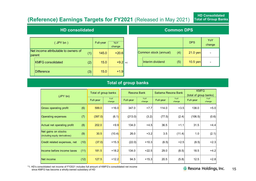## **(Reference) Earnings Targets for FY2021** (Released in May 2021)

### **HD consolidated**

| (JPYbn)                                        |     | Full-year | YoY<br>change |      |
|------------------------------------------------|-----|-----------|---------------|------|
| Net income attributable to owners of<br>parent | (1) | 145.0     | $+20.6$       |      |
| <b>KMFG consolidated</b>                       | (2) | 15.0      | $+9.2$        | $*1$ |
| <b>Difference</b>                              | (3) | 15.0      | $+1.9$        |      |

|                              | <b>DPS</b> | YoY<br>change |
|------------------------------|------------|---------------|
| Common stock (annual)<br>(4) | $21.0$ yen |               |
| Interim dividend<br>(5)      | $10.5$ yen |               |

### **Total of group banks**

| (JPY bn)                                              |      | Total of group banks |               | Resona Bank |               | Saitama Resona Bank |               | <b>KMFG</b><br>(total of group banks) |               |
|-------------------------------------------------------|------|----------------------|---------------|-------------|---------------|---------------------|---------------|---------------------------------------|---------------|
|                                                       |      | Full-year            | YoY<br>change | Full-year   | YoY<br>change | Full-year           | YoY<br>change | Full-year                             | YoY<br>change |
| Gross operating profit                                | (6)  | 599.0                | $+16.0$       | 347.0       | $+7.7$        | 114.0               | $+3.5$        | 138.0                                 | $+5.0$        |
| <b>Operating expenses</b>                             | (7)  | (397.0)              | (6.1)         | (213.0)     | (3.2)         | (77.5)              | (2.4)         | (106.5)                               | (0.6)         |
| Actual net operating profit                           | (8)  | 202.0                | $+9.9$        | 134.0       | $+4.5$        | 36.5                | $+1.1$        | 31.5                                  | $+4.4$        |
| Net gains on stocks<br>(including equity derivatives) | (9)  | 30.5                 | (10.4)        | 26.0        | $+3.2$        | 3.5                 | (11.4)        | 1.0                                   | (2.1)         |
| Credit related expenses, net                          | (10) | (37.0)               | $+15.3$       | (22.0)      | $+10.3$       | (6.5)               | $+2.5$        | (8.5)                                 | $+2.3$        |
| Income before income taxes                            | (11) | 181.5                | $+18.2$       | 134.0       | $+22.5$       | 29.0                | (8.5)         | 18.5                                  | $+4.2$        |
| Net income                                            | (12) | 127.5                | $+12.2$       | 94.5        | $+15.3$       | 20.5                | (5.8)         | 12.5                                  | $+2.8$        |

\*1. HD's consolidated net income of FY2021 includes full amount of KMFG's consolidated net income since KMFG has become a wholly-owned subsidiary of HD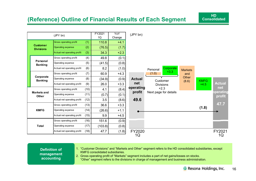## **(Reference) Outline of Financial Results of Each Segment**



#### **Definition of management accounting**

1. "Customer Divisions" and "Markets and Other" segment refers to the HD consolidated subsidiaries, except KMFG consolidated subsidiaries.

2. Gross operating profit of "Markets" segment includes a part of net gains/losses on stocks. "Other" segment refers to the divisions in charge of management and business administration.

**HDConsolidated**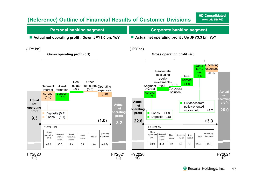## **(Reference) Outline of Financial Results of Customer Divisions**